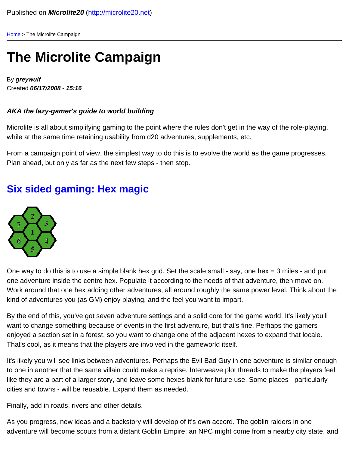[Home](/) > The Microlite Campaign

## The Microlite Campaign

By greywulf Created 06/17/2008 - 15:16

AKA the lazy-gamer's guide to world building

Microlite is all about simplifying gaming to the point where the rules don't get in the way of the role-playing, while at the same time retaining usability from d20 adventures, supplements, etc.

From a campaign point of view, the simplest way to do this is to evolve the world as the game progresses. Plan ahead, but only as far as the next few steps - then stop.

## Six sided gaming: Hex magic

One way to do this is to use a simple blank hex grid. Set the scale small - say, one hex = 3 miles - and put one adventure inside the centre hex. Populate it according to the needs of that adventure, then move on. Work around that one hex adding other adventures, all around roughly the same power level. Think about the kind of adventures you (as GM) enjoy playing, and the feel you want to impart.

By the end of this, you've got seven adventure settings and a solid core for the game world. It's likely you'll want to change something because of events in the first adventure, but that's fine. Perhaps the gamers enjoyed a section set in a forest, so you want to change one of the adjacent hexes to expand that locale. That's cool, as it means that the players are involved in the gameworld itself.

It's likely you will see links between adventures. Perhaps the Evil Bad Guy in one adventure is similar enough to one in another that the same villain could make a reprise. Interweave plot threads to make the players feel like they are a part of a larger story, and leave some hexes blank for future use. Some places - particularly cities and towns - will be reusable. Expand them as needed.

Finally, add in roads, rivers and other details.

As you progress, new ideas and a backstory will develop of it's own accord. The goblin raiders in one adventure will become scouts from a distant Goblin Empire; an NPC might come from a nearby city state, and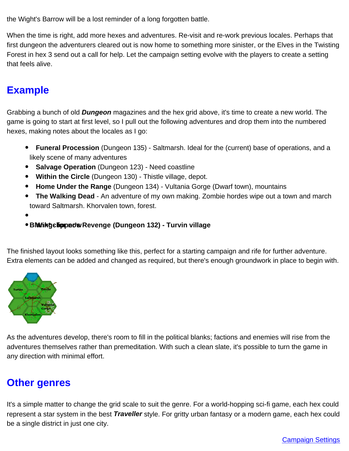the Wight's Barrow will be a lost reminder of a long forgotten battle.

When the time is right, add more hexes and adventures. Re-visit and re-work previous locales. Perhaps that first dungeon the adventurers cleared out is now home to something more sinister, or the Elves in the Twisting Forest in hex 3 send out a call for help. Let the campaign setting evolve with the players to create a setting that feels alive.

## **Example**

Grabbing a bunch of old Dungeon magazines and the hex grid above, it's time to create a new world. The game is going to start at first level, so I pull out the following adventures and drop them into the numbered hexes, making notes about the locales as I go:

- Funeral Procession (Dungeon 135) Saltmarsh. Ideal for the (current) base of operations, and a likely scene of many adventures
- Salvage Operation (Dungeon 123) Need coastline
- Within the Circle (Dungeon 130) Thistle village, depot.
- Home Under the Range (Dungeon 134) Vultania Gorge (Dwarf town), mountains
- $\bullet$ The Walking Dead - An adventure of my own making. Zombie hordes wipe out a town and march toward Saltmarsh. Khorvalen town, forest.
- 
- Blawik\* gelipped wikevenge (Dungeon 132) Turvin village

The finished layout looks something like this, perfect for a starting campaign and rife for further adventure. Extra elements can be added and changed as required, but there's enough groundwork in place to begin with.

As the adventures develop, there's room to fill in the political blanks; factions and enemies will rise from the adventures themselves rather than premeditation. With such a clean slate, it's possible to turn the game in any direction with minimal effort.

## Other genres

It's a simple matter to change the grid scale to suit the genre. For a world-hopping sci-fi game, each hex could represent a star system in the best Traveller style. For gritty urban fantasy or a modern game, each hex could be a single district in just one city.